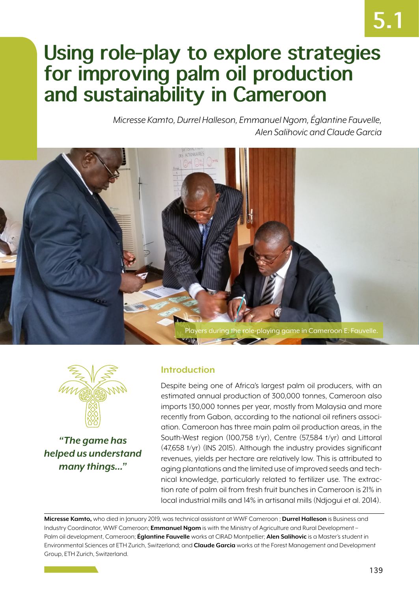# **5.1**

# **Using role-play to explore strategies for improving palm oil production and sustainability in Cameroon**

*Micresse Kamto, Durrel Halleson, Emmanuel Ngom, Églantine Fauvelle, Alen Salihovic and Claude Garcia*





*"The game has helped us understand many things…"*

# **Introduction**

Despite being one of Africa's largest palm oil producers, with an estimated annual production of 300,000 tonnes, Cameroon also imports 130,000 tonnes per year, mostly from Malaysia and more recently from Gabon, according to the national oil refiners association. Cameroon has three main palm oil production areas, in the South-West region (100,758 t/yr), Centre (57,584 t/yr) and Littoral (47,658 t/yr) (INS 2015). Although the industry provides significant revenues, yields per hectare are relatively low. This is attributed to aging plantations and the limited use of improved seeds and technical knowledge, particularly related to fertilizer use. The extraction rate of palm oil from fresh fruit bunches in Cameroon is 21% in local industrial mills and 14% in artisanal mills (Ndjogui et al. 2014).

**Micresse Kamto,** who died in January 2019, was technical assistant at WWF Cameroon ; **Durrel Halleson** is Business and Industry Coordinator, WWF Cameroon; **Emmanuel Ngom** is with the Ministry of Agriculture and Rural Development – Palm oil development, Cameroon; **Églantine Fauvelle** works at CIRAD Montpellier; **Alen Salihovic** is a Master's student in Environmental Sciences at ETH Zurich, Switzerland; and **Claude Garcia** works at the Forest Management and Development Group, ETH Zurich, Switzerland.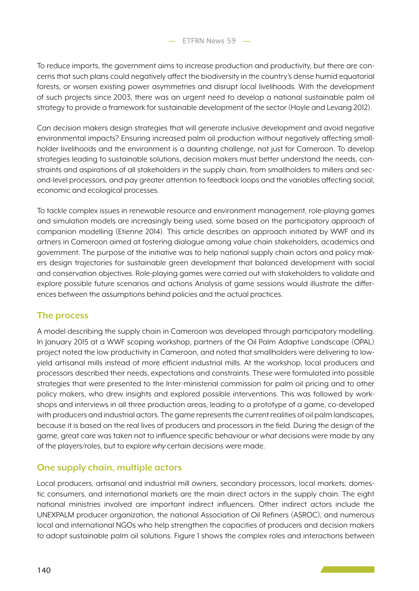To reduce imports, the government aims to increase production and productivity, but there are concerns that such plans could negatively affect the biodiversity in the country's dense humid equatorial forests, or worsen existing power asymmetries and disrupt local livelihoods. With the development of such projects since 2003, there was an urgent need to develop a national sustainable palm oil strategy to provide a framework for sustainable development of the sector (Hoyle and Levang 2012).

Can decision makers design strategies that will generate inclusive development and avoid negative environmental impacts? Ensuring increased palm oil production without negatively affecting smallholder livelihoods and the environment is a daunting challenge, not just for Cameroon. To develop strategies leading to sustainable solutions, decision makers must better understand the needs, constraints and aspirations of all stakeholders in the supply chain, from smallholders to millers and second-level processors, and pay greater attention to feedback loops and the variables affecting social, economic and ecological processes.

To tackle complex issues in renewable resource and environment management, role-playing games and simulation models are increasingly being used, some based on the participatory approach of companion modelling (Etienne 2014). This article describes an approach initiated by WWF and its artners in Cameroon aimed at fostering dialogue among value chain stakeholders, academics and government. The purpose of the initiative was to help national supply chain actors and policy makers design trajectories for sustainable green development that balanced development with social and conservation objectives. Role-playing games were carried out with stakeholders to validate and explore possible future scenarios and actions Analysis of game sessions would illustrate the differences between the assumptions behind policies and the actual practices.

### **The process**

A model describing the supply chain in Cameroon was developed through participatory modelling. In January 2015 at a WWF scoping workshop, partners of the Oil Palm Adaptive Landscape (OPAL) project noted the low productivity in Cameroon, and noted that smallholders were delivering to lowyield artisanal mills instead of more efficient industrial mills. At the workshop, local producers and processors described their needs, expectations and constraints. These were formulated into possible strategies that were presented to the Inter-ministerial commission for palm oil pricing and to other policy makers, who drew insights and explored possible interventions. This was followed by workshops and interviews in all three production areas, leading to a prototype of a game, co-developed with producers and industrial actors. The game represents the current realities of oil palm landscapes, because it is based on the real lives of producers and processors in the field. During the design of the game, great care was taken not to influence specific behaviour or *what* decisions were made by any of the players/roles, but to explore *why* certain decisions were made.

# **One supply chain, multiple actors**

Local producers, artisanal and industrial mill owners, secondary processors, local markets, domestic consumers, and international markets are the main direct actors in the supply chain. The eight national ministries involved are important indirect influencers. Other indirect actors include the UNEXPALM producer organization, the national Association of Oil Refiners (ASROC), and numerous local and international NGOs who help strengthen the capacities of producers and decision makers to adopt sustainable palm oil solutions. Figure 1 shows the complex roles and interactions between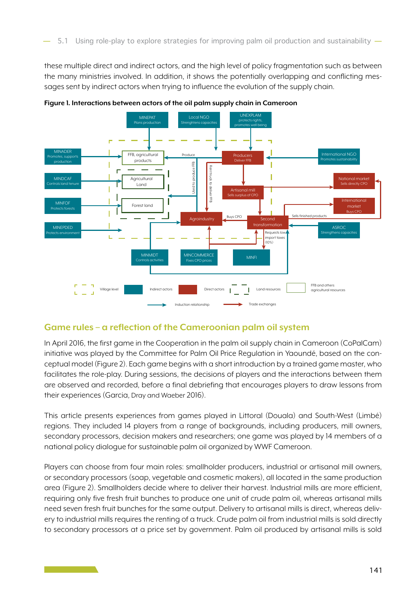these multiple direct and indirect actors, and the high level of policy fragmentation such as between the many ministries involved. In addition, it shows the potentially overlapping and conflicting messages sent by indirect actors when trying to influence the evolution of the supply chain.



**Figure 1. Interactions between actors of the oil palm supply chain in Cameroon**

### **Game rules – a reflection of the Cameroonian palm oil system**

In April 2016, the first game in the Cooperation in the palm oil supply chain in Cameroon (CoPalCam) initiative was played by the Committee for Palm Oil Price Regulation in Yaoundé, based on the conceptual model (Figure 2). Each game begins with a short introduction by a trained game master, who facilitates the role-play. During sessions, the decisions of players and the interactions between them are observed and recorded, before a final debriefing that encourages players to draw lessons from their experiences (Garcia, Dray and Waeber 2016).

This article presents experiences from games played in Littoral (Douala) and South-West (Limbé) regions. They included 14 players from a range of backgrounds, including producers, mill owners, secondary processors, decision makers and researchers; one game was played by 14 members of a national policy dialogue for sustainable palm oil organized by WWF Cameroon.

Players can choose from four main roles: smallholder producers, industrial or artisanal mill owners, or secondary processors (soap, vegetable and cosmetic makers), all located in the same production area (Figure 2). Smallholders decide where to deliver their harvest. Industrial mills are more efficient, requiring only five fresh fruit bunches to produce one unit of crude palm oil, whereas artisanal mills need seven fresh fruit bunches for the same output. Delivery to artisanal mills is direct, whereas delivery to industrial mills requires the renting of a truck. Crude palm oil from industrial mills is sold directly to secondary processors at a price set by government. Palm oil produced by artisanal mills is sold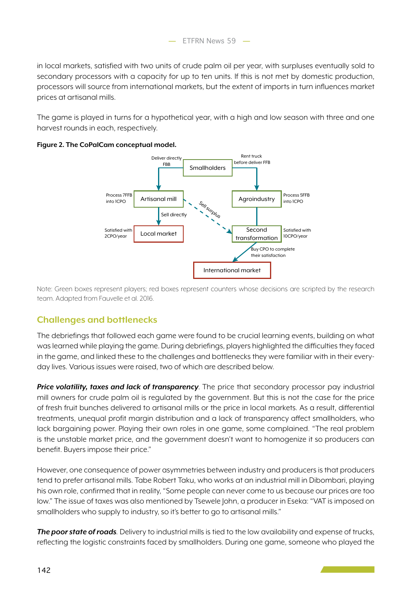

in local markets, satisfied with two units of crude palm oil per year, with surpluses eventually sold to secondary processors with a capacity for up to ten units. If this is not met by domestic production, processors will source from international markets, but the extent of imports in turn influences market prices at artisanal mills.

The game is played in turns for a hypothetical year, with a high and low season with three and one harvest rounds in each, respectively.





Note: Green boxes represent players; red boxes represent counters whose decisions are scripted by the research team. Adapted from Fauvelle et al. 2016.

# **Challenges and bottlenecks**

The debriefings that followed each game were found to be crucial learning events, building on what was learned while playing the game. During debriefings, players highlighted the difficulties they faced in the game, and linked these to the challenges and bottlenecks they were familiar with in their everyday lives. Various issues were raised, two of which are described below.

*Price volatility, taxes and lack of transparency.* The price that secondary processor pay industrial mill owners for crude palm oil is regulated by the government. But this is not the case for the price of fresh fruit bunches delivered to artisanal mills or the price in local markets. As a result, differential treatments, unequal profit margin distribution and a lack of transparency affect smallholders, who lack bargaining power. Playing their own roles in one game, some complained. "The real problem is the unstable market price, and the government doesn't want to homogenize it so producers can benefit. Buyers impose their price."

However, one consequence of power asymmetries between industry and producers is that producers tend to prefer artisanal mills. Tabe Robert Taku, who works at an industrial mill in Dibombari, playing his own role, confirmed that in reality, "Some people can never come to us because our prices are too low." The issue of taxes was also mentioned by Tsewele John, a producer in Eseka: "VAT is imposed on smallholders who supply to industry, so it's better to go to artisanal mills."

*The poor state of roads.* Delivery to industrial mills is tied to the low availability and expense of trucks, reflecting the logistic constraints faced by smallholders. During one game, someone who played the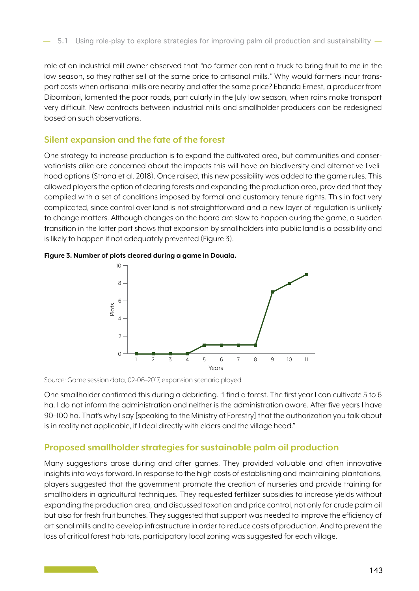role of an industrial mill owner observed that *"*no farmer can rent a truck to bring fruit to me in the low season, so they rather sell at the same price to artisanal mills.*"* Why would farmers incur transport costs when artisanal mills are nearby and offer the same price? Ebanda Ernest, a producer from Dibombari, lamented the poor roads, particularly in the July low season, when rains make transport very difficult. New contracts between industrial mills and smallholder producers can be redesigned based on such observations.

#### **Silent expansion and the fate of the forest**

One strategy to increase production is to expand the cultivated area, but communities and conservationists alike are concerned about the impacts this will have on biodiversity and alternative livelihood options (Strona et al. 2018). Once raised, this new possibility was added to the game rules. This allowed players the option of clearing forests and expanding the production area, provided that they complied with a set of conditions imposed by formal and customary tenure rights. This in fact very complicated, since control over land is not straightforward and a new layer of regulation is unlikely to change matters. Although changes on the board are slow to happen during the game, a sudden transition in the latter part shows that expansion by smallholders into public land is a possibility and is likely to happen if not adequately prevented (Figure 3).







Source: Game session data, 02-06–2017, expansion scenario played

One smallholder confirmed this during a debriefing. "I find a forest. The first year I can cultivate 5 to 6 ha. I do not inform the administration and neither is the administration aware. After five years I have 90–100 ha. That's why I say [speaking to the Ministry of Forestry] that the authorization you talk about is in reality not applicable, if I deal directly with elders and the village head."

#### **Proposed smallholder strategies for sustainable palm oil production**

Many suggestions arose during and after games. They provided valuable and often innovative insights into ways forward. In response to the high costs of establishing and maintaining plantations, players suggested that the government promote the creation of nurseries and provide training for smallholders in agricultural techniques. They requested fertilizer subsidies to increase yields without expanding the production area, and discussed taxation and price control, not only for crude palm oil but also for fresh fruit bunches. They suggested that support was needed to improve the efficiency of artisanal mills and to develop infrastructure in order to reduce costs of production. And to prevent the loss of critical forest habitats, participatory local zoning was suggested for each village.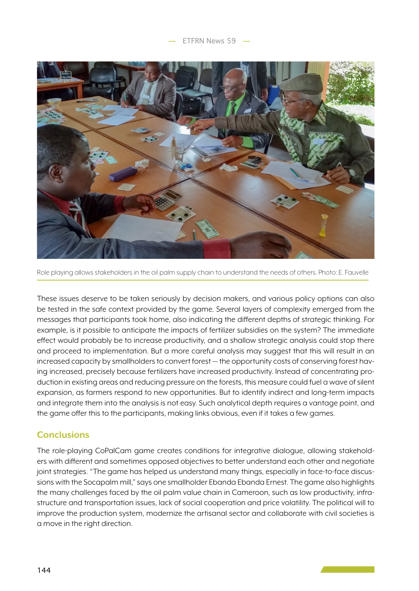

Role playing allows stakeholders in the oil palm supply chain to understand the needs of others. Photo: E. Fauvelle

These issues deserve to be taken seriously by decision makers, and various policy options can also be tested in the safe context provided by the game. Several layers of complexity emerged from the messages that participants took home, also indicating the different depths of strategic thinking. For example, is it possible to anticipate the impacts of fertilizer subsidies on the system? The immediate effect would probably be to increase productivity, and a shallow strategic analysis could stop there and proceed to implementation. But a more careful analysis may suggest that this will result in an increased capacity by smallholders to convert forest — the opportunity costs of conserving forest having increased, precisely because fertilizers have increased productivity. Instead of concentrating production in existing areas and reducing pressure on the forests, this measure could fuel a wave of silent expansion, as farmers respond to new opportunities. But to identify indirect and long-term impacts and integrate them into the analysis is not easy. Such analytical depth requires a vantage point, and the game offer this to the participants, making links obvious, even if it takes a few games.

### **Conclusions**

The role-playing CoPalCam game creates conditions for integrative dialogue, allowing stakeholders with different and sometimes opposed objectives to better understand each other and negotiate joint strategies. "The game has helped us understand many things, especially in face-to-face discussions with the Socapalm mill," says one smallholder Ebanda Ebanda Ernest. The game also highlights the many challenges faced by the oil palm value chain in Cameroon, such as low productivity, infrastructure and transportation issues, lack of social cooperation and price volatility. The political will to improve the production system, modernize the artisanal sector and collaborate with civil societies is a move in the right direction.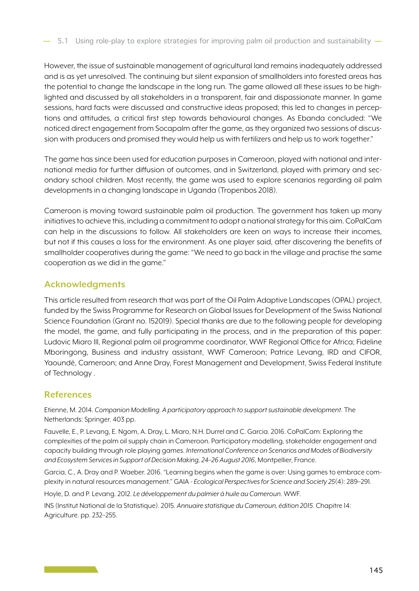However, the issue of sustainable management of agricultural land remains inadequately addressed and is as yet unresolved. The continuing but silent expansion of smallholders into forested areas has the potential to change the landscape in the long run. The game allowed all these issues to be highlighted and discussed by all stakeholders in a transparent, fair and dispassionate manner. In game sessions, hard facts were discussed and constructive ideas proposed; this led to changes in perceptions and attitudes, a critical first step towards behavioural changes. As Ebanda concluded: "We noticed direct engagement from Socapalm after the game, as they organized two sessions of discussion with producers and promised they would help us with fertilizers and help us to work together."

The game has since been used for education purposes in Cameroon, played with national and international media for further diffusion of outcomes, and in Switzerland, played with primary and secondary school children. Most recently, the game was used to explore scenarios regarding oil palm developments in a changing landscape in Uganda (Tropenbos 2018).

Cameroon is moving toward sustainable palm oil production. The government has taken up many initiatives to achieve this, including a commitment to adopt a national strategy for this aim. CoPalCam can help in the discussions to follow. All stakeholders are keen on ways to increase their incomes, but not if this causes a loss for the environment. As one player said, after discovering the benefits of smallholder cooperatives during the game: "We need to go back in the village and practise the same cooperation as we did in the game."

## **Acknowledgments**

This article resulted from research that was part of the Oil Palm Adaptive Landscapes (OPAL) project, funded by the Swiss Programme for Research on Global Issues for Development of the Swiss National Science Foundation (Grant no. 152019). Special thanks are due to the following people for developing the model, the game, and fully participating in the process, and in the preparation of this paper: Ludovic Miaro III, Regional palm oil programme coordinator, WWF Regional Office for Africa; Fideline Mboringong, Business and industry assistant, WWF Cameroon; Patrice Levang, IRD and CIFOR, Yaoundé, Cameroon; and Anne Dray, Forest Management and Development, Swiss Federal Institute of Technology .

# **References**

Etienne, M. 2014. *Companion Modelling. A participatory approach to support sustainable development*. The Netherlands: Springer. 403 pp.

Fauvelle, E., P. Levang, E. Ngom, A. Dray, L. Miaro, N.H. Durrel and C. Garcia. 2016. CoPalCam: Exploring the complexities of the palm oil supply chain in Cameroon. Participatory modelling, stakeholder engagement and capacity building through role playing games. *International Conference on Scenarios and Models of Biodiversity and Ecosystem Services in Support of Decision Making, 24–26 August 2016*, Montpellier, France.

Garcia, C., A. Dray and P. Waeber. 2016. "Learning begins when the game is over: Using games to embrace complexity in natural resources management." GAIA - *Ecological Perspectives for Science and Society 25*(4): 289–291.

Hoyle, D. and P. Levang. 2012. *Le développement du palmier à huile au Cameroun*. WWF.

INS (Institut National de la Statistique). 2015. *Annuaire statistique du Cameroun, édition 2015*. Chapitre 14: Agriculture. pp. 232–255.